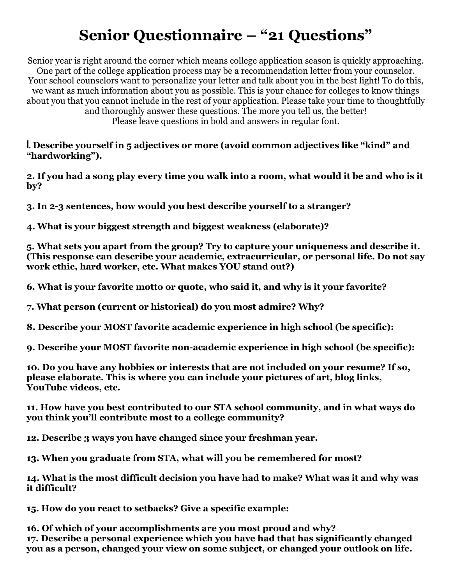## **Senior Questionnaire – "21 Questions"**

Senior year is right around the corner which means college application season is quickly approaching. One part of the college application process may be a recommendation letter from your counselor. Your school counselors want to personalize your letter and talk about you in the best light! To do this, we want as much information about you as possible. This is your chance for colleges to know things about you that you cannot include in the rest of your application. Please take your time to thoughtfully and thoroughly answer these questions. The more you tell us, the better! Please leave questions in bold and answers in regular font.

**1. Describe yourself in 5 adjectives or more (avoid common adjectives like "kind" and "hardworking").**

**2. If you had a song play every time you walk into a room, what would it be and who is it by?**

**3. In 2-3 sentences, how would you best describe yourself to a stranger?**

**4. What is your biggest strength and biggest weakness (elaborate)?**

**5. What sets you apart from the group? Try to capture your uniqueness and describe it. (This response can describe your academic, extracurricular, or personal life. Do not say work ethic, hard worker, etc. What makes YOU stand out?)**

**6. What is your favorite motto or quote, who said it, and why is it your favorite?**

**7. What person (current or historical) do you most admire? Why?**

**8. Describe your MOST favorite academic experience in high school (be specific):**

**9. Describe your MOST favorite non-academic experience in high school (be specific):**

**10. Do you have any hobbies or interests that are not included on your resume? If so, please elaborate. This is where you can include your pictures of art, blog links, YouTube videos, etc.**

**11. How have you best contributed to our STA school community, and in what ways do you think you'll contribute most to a college community?**

**12. Describe 3 ways you have changed since your freshman year.**

**13. When you graduate from STA, what will you be remembered for most?**

**14. What is the most difficult decision you have had to make? What was it and why was it difficult?** 

**15. How do you react to setbacks? Give a specific example:**

**16. Of which of your accomplishments are you most proud and why? 17. Describe a personal experience which you have had that has significantly changed you as a person, changed your view on some subject, or changed your outlook on life.**